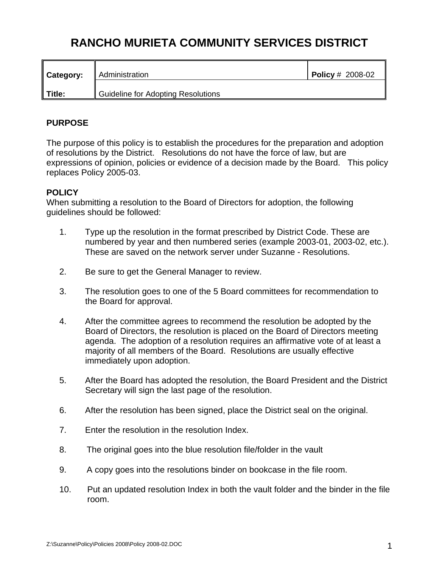## **RANCHO MURIETA COMMUNITY SERVICES DISTRICT**

| Category: | Administration                     | <b>Policy</b> # 2008-02 |
|-----------|------------------------------------|-------------------------|
| Title:    | Guideline for Adopting Resolutions |                         |

## **PURPOSE**

The purpose of this policy is to establish the procedures for the preparation and adoption of resolutions by the District. Resolutions do not have the force of law, but are expressions of opinion, policies or evidence of a decision made by the Board. This policy replaces Policy 2005-03.

## **POLICY**

When submitting a resolution to the Board of Directors for adoption, the following guidelines should be followed:

- 1. Type up the resolution in the format prescribed by District Code. These are numbered by year and then numbered series (example 2003-01, 2003-02, etc.). These are saved on the network server under Suzanne - Resolutions.
- 2. Be sure to get the General Manager to review.
- 3. The resolution goes to one of the 5 Board committees for recommendation to the Board for approval.
- 4. After the committee agrees to recommend the resolution be adopted by the Board of Directors, the resolution is placed on the Board of Directors meeting agenda. The adoption of a resolution requires an affirmative vote of at least a majority of all members of the Board. Resolutions are usually effective immediately upon adoption.
- 5. After the Board has adopted the resolution, the Board President and the District Secretary will sign the last page of the resolution.
- 6. After the resolution has been signed, place the District seal on the original.
- 7. Enter the resolution in the resolution Index.
- 8. The original goes into the blue resolution file/folder in the vault
- 9. A copy goes into the resolutions binder on bookcase in the file room.
- 10. Put an updated resolution Index in both the vault folder and the binder in the file room.